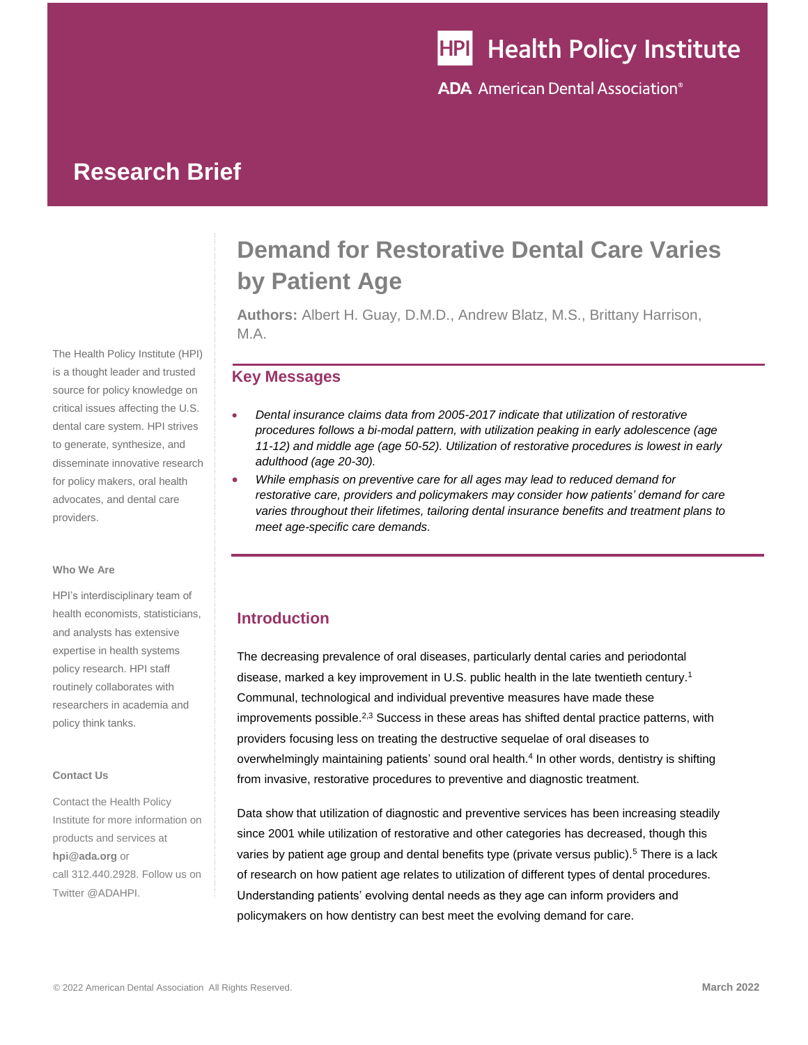# HPI Health Policy Institute

**ADA** American Dental Association<sup>®</sup>

## **Research Brief**

The Health Policy Institute (HPI) is a thought leader and trusted source for policy knowledge on critical issues affecting the U.S. dental care system. HPI strives to generate, synthesize, and disseminate innovative research for policy makers, oral health advocates, and dental care providers.

#### **Who We Are**

HPI's interdisciplinary team of health economists, statisticians, and analysts has extensive expertise in health systems policy research. HPI staff routinely collaborates with researchers in academia and policy think tanks.

#### **Contact Us**

Contact the Health Policy Institute for more information on products and services at **[hpi@ada.org](mailto:hpi@ada.org)** or call 312.440.2928. Follow us on Twitter @ADAHPI.

## **Demand for Restorative Dental Care Varies by Patient Age**

**Authors:** Albert H. Guay, D.M.D., Andrew Blatz, M.S., Brittany Harrison, M.A.

### **Key Messages**

- *Dental insurance claims data from 2005-2017 indicate that utilization of restorative procedures follows a bi-modal pattern, with utilization peaking in early adolescence (age 11-12) and middle age (age 50-52). Utilization of restorative procedures is lowest in early adulthood (age 20-30).*
- *While emphasis on preventive care for all ages may lead to reduced demand for restorative care, providers and policymakers may consider how patients' demand for care varies throughout their lifetimes, tailoring dental insurance benefits and treatment plans to meet age-specific care demands.*

## **Introduction**

The decreasing prevalence of oral diseases, particularly dental caries and periodontal disease, marked a key improvement in U.S. public health in the late twentieth century.<sup>1</sup> Communal, technological and individual preventive measures have made these improvements possible.<sup>2,3</sup> Success in these areas has shifted dental practice patterns, with providers focusing less on treating the destructive sequelae of oral diseases to overwhelmingly maintaining patients' sound oral health.<sup>4</sup> In other words, dentistry is shifting from invasive, restorative procedures to preventive and diagnostic treatment.

Data show that utilization of diagnostic and preventive services has been increasing steadily since 2001 while utilization of restorative and other categories has decreased, though this varies by patient age group and dental benefits type (private versus public).<sup>5</sup> There is a lack of research on how patient age relates to utilization of different types of dental procedures. Understanding patients' evolving dental needs as they age can inform providers and policymakers on how dentistry can best meet the evolving demand for care.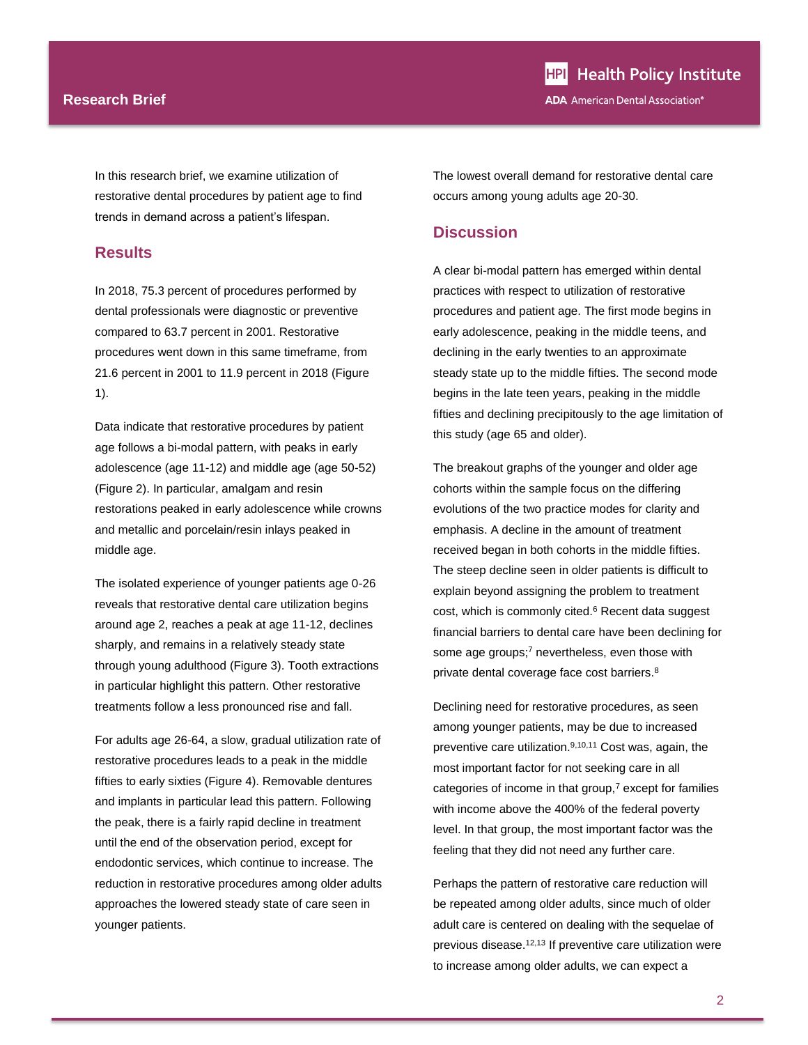#### **Research Brief**

In this research brief, we examine utilization of restorative dental procedures by patient age to find trends in demand across a patient's lifespan.

### **Results**

In 2018, 75.3 percent of procedures performed by dental professionals were diagnostic or preventive compared to 63.7 percent in 2001. Restorative procedures went down in this same timeframe, from 21.6 percent in 2001 to 11.9 percent in 2018 (Figure 1).

Data indicate that restorative procedures by patient age follows a bi-modal pattern, with peaks in early adolescence (age 11-12) and middle age (age 50-52) (Figure 2). In particular, amalgam and resin restorations peaked in early adolescence while crowns and metallic and porcelain/resin inlays peaked in middle age.

The isolated experience of younger patients age 0-26 reveals that restorative dental care utilization begins around age 2, reaches a peak at age 11-12, declines sharply, and remains in a relatively steady state through young adulthood (Figure 3). Tooth extractions in particular highlight this pattern. Other restorative treatments follow a less pronounced rise and fall.

For adults age 26-64, a slow, gradual utilization rate of restorative procedures leads to a peak in the middle fifties to early sixties (Figure 4). Removable dentures and implants in particular lead this pattern. Following the peak, there is a fairly rapid decline in treatment until the end of the observation period, except for endodontic services, which continue to increase. The reduction in restorative procedures among older adults approaches the lowered steady state of care seen in younger patients.

The lowest overall demand for restorative dental care occurs among young adults age 20-30.

## **Discussion**

A clear bi-modal pattern has emerged within dental practices with respect to utilization of restorative procedures and patient age. The first mode begins in early adolescence, peaking in the middle teens, and declining in the early twenties to an approximate steady state up to the middle fifties. The second mode begins in the late teen years, peaking in the middle fifties and declining precipitously to the age limitation of this study (age 65 and older).

The breakout graphs of the younger and older age cohorts within the sample focus on the differing evolutions of the two practice modes for clarity and emphasis. A decline in the amount of treatment received began in both cohorts in the middle fifties. The steep decline seen in older patients is difficult to explain beyond assigning the problem to treatment cost, which is commonly cited.<sup>6</sup> Recent data suggest financial barriers to dental care have been declining for some age groups;<sup>7</sup> nevertheless, even those with private dental coverage face cost barriers.<sup>8</sup>

Declining need for restorative procedures, as seen among younger patients, may be due to increased preventive care utilization.<sup>9,10,11</sup> Cost was, again, the most important factor for not seeking care in all categories of income in that group, $7$  except for families with income above the 400% of the federal poverty level. In that group, the most important factor was the feeling that they did not need any further care.

Perhaps the pattern of restorative care reduction will be repeated among older adults, since much of older adult care is centered on dealing with the sequelae of previous disease.<sup>12,13</sup> If preventive care utilization were to increase among older adults, we can expect a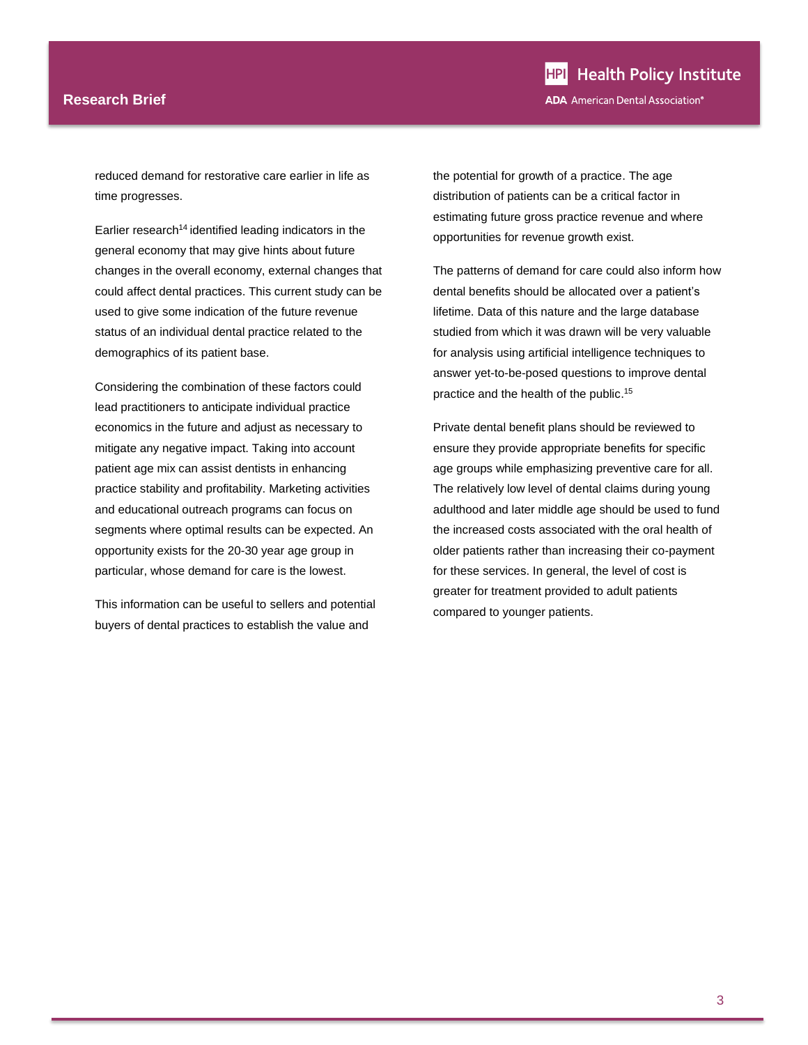reduced demand for restorative care earlier in life as time progresses.

Earlier research<sup>14</sup> identified leading indicators in the general economy that may give hints about future changes in the overall economy, external changes that could affect dental practices. This current study can be used to give some indication of the future revenue status of an individual dental practice related to the demographics of its patient base.

Considering the combination of these factors could lead practitioners to anticipate individual practice economics in the future and adjust as necessary to mitigate any negative impact. Taking into account patient age mix can assist dentists in enhancing practice stability and profitability. Marketing activities and educational outreach programs can focus on segments where optimal results can be expected. An opportunity exists for the 20-30 year age group in particular, whose demand for care is the lowest.

This information can be useful to sellers and potential buyers of dental practices to establish the value and

the potential for growth of a practice. The age distribution of patients can be a critical factor in estimating future gross practice revenue and where opportunities for revenue growth exist.

The patterns of demand for care could also inform how dental benefits should be allocated over a patient's lifetime. Data of this nature and the large database studied from which it was drawn will be very valuable for analysis using artificial intelligence techniques to answer yet-to-be-posed questions to improve dental practice and the health of the public. 15

Private dental benefit plans should be reviewed to ensure they provide appropriate benefits for specific age groups while emphasizing preventive care for all. The relatively low level of dental claims during young adulthood and later middle age should be used to fund the increased costs associated with the oral health of older patients rather than increasing their co-payment for these services. In general, the level of cost is greater for treatment provided to adult patients compared to younger patients.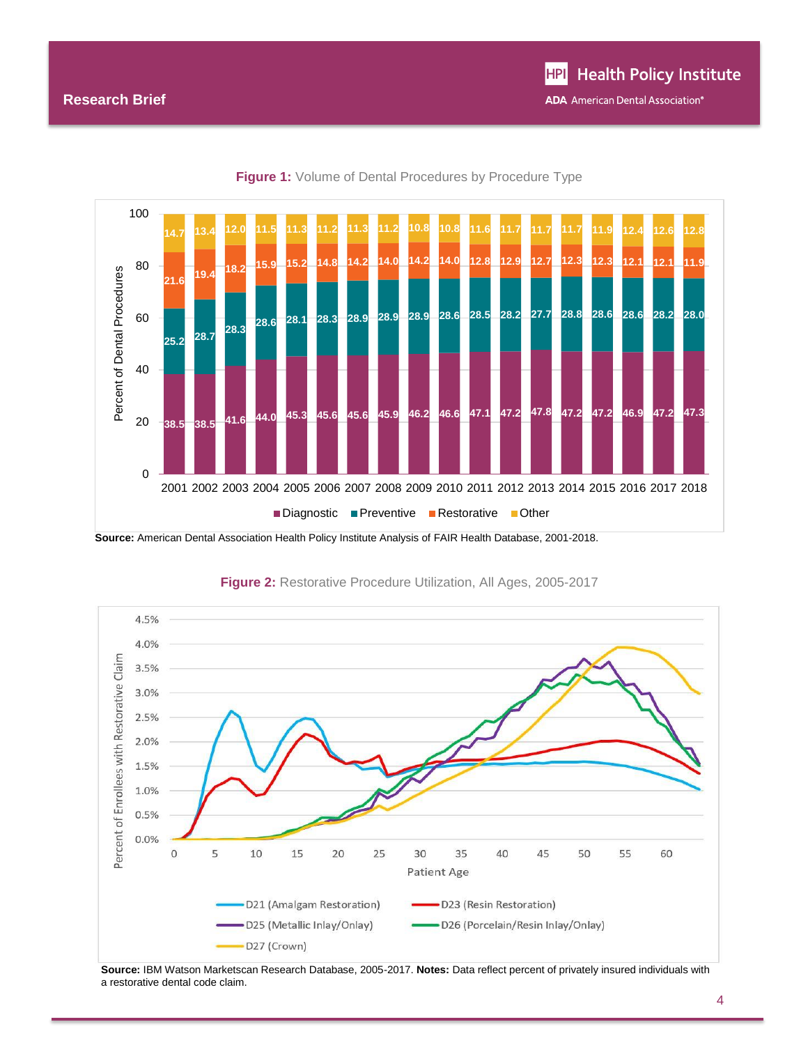

**Figure 1:** Volume of Dental Procedures by Procedure Type



#### **Figure 2:** Restorative Procedure Utilization, All Ages, 2005-2017

**Source:** IBM Watson Marketscan Research Database, 2005-2017. **Notes:** Data reflect percent of privately insured individuals with a restorative dental code claim.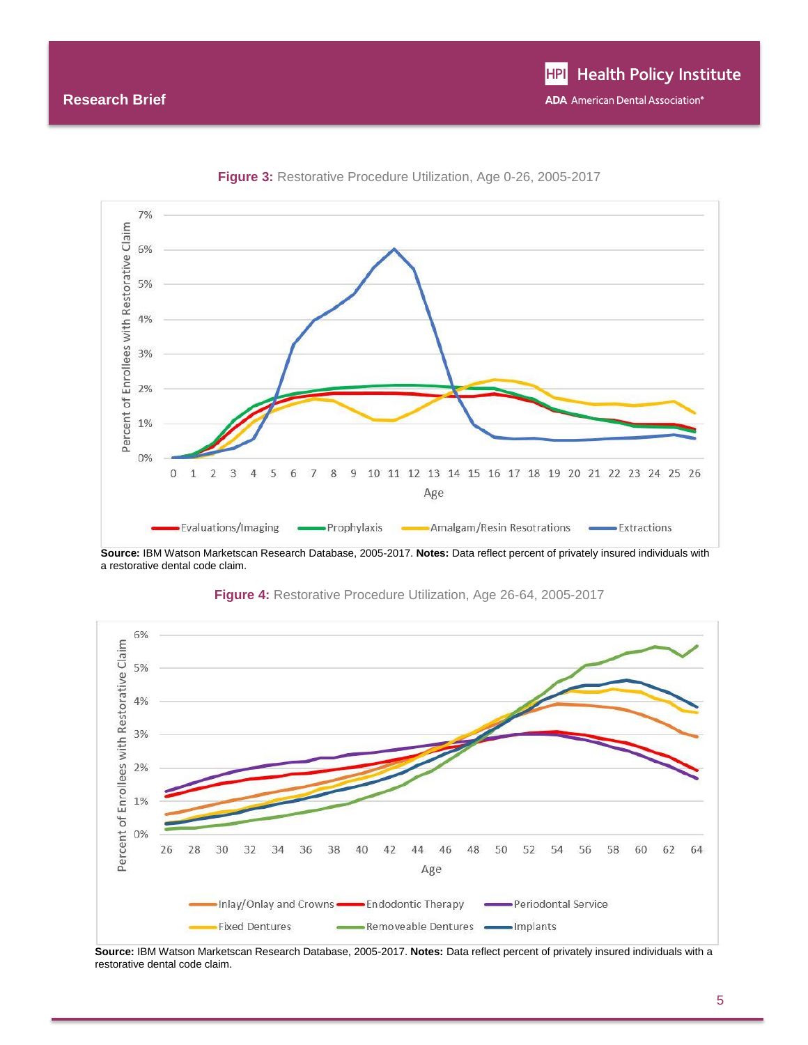

**Figure 3:** Restorative Procedure Utilization, Age 0-26, 2005-2017

**Source:** IBM Watson Marketscan Research Database, 2005-2017. **Notes:** Data reflect percent of privately insured individuals with a restorative dental code claim.



**Figure 4:** Restorative Procedure Utilization, Age 26-64, 2005-2017

**Source:** IBM Watson Marketscan Research Database, 2005-2017. **Notes:** Data reflect percent of privately insured individuals with a restorative dental code claim.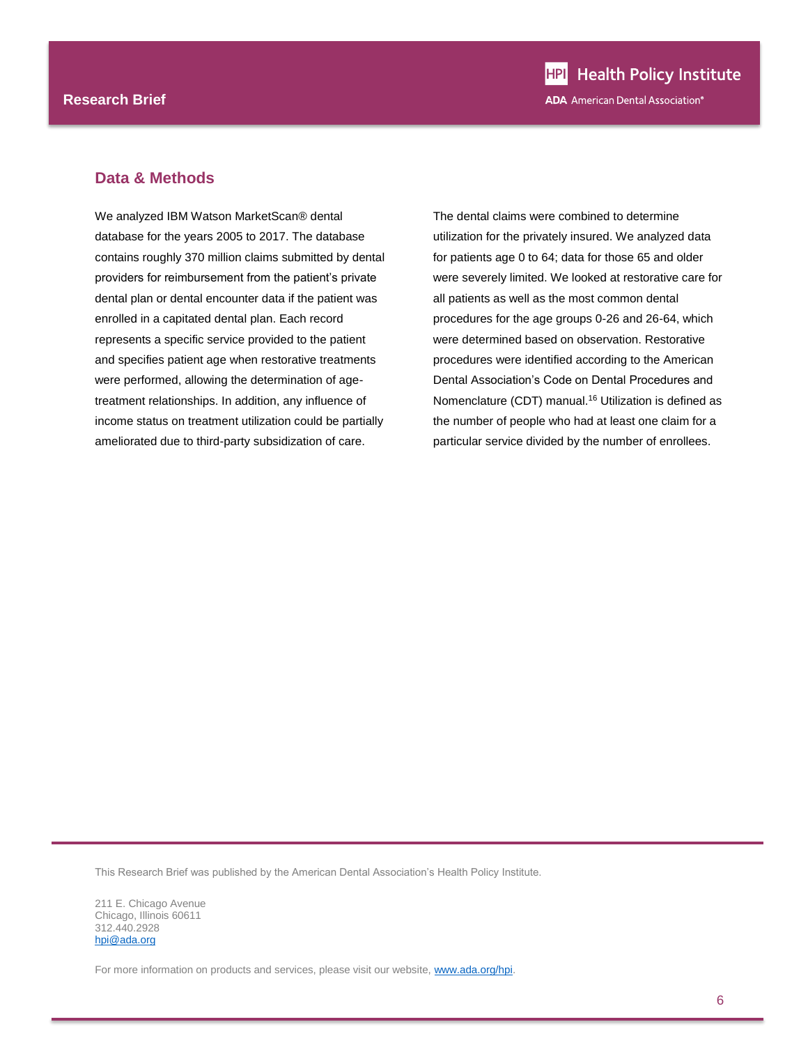## **Data & Methods**

We analyzed IBM Watson MarketScan® dental database for the years 2005 to 2017. The database contains roughly 370 million claims submitted by dental providers for reimbursement from the patient's private dental plan or dental encounter data if the patient was enrolled in a capitated dental plan. Each record represents a specific service provided to the patient and specifies patient age when restorative treatments were performed, allowing the determination of agetreatment relationships. In addition, any influence of income status on treatment utilization could be partially ameliorated due to third-party subsidization of care.

The dental claims were combined to determine utilization for the privately insured. We analyzed data for patients age 0 to 64; data for those 65 and older were severely limited. We looked at restorative care for all patients as well as the most common dental procedures for the age groups 0-26 and 26-64, which were determined based on observation. Restorative procedures were identified according to the American Dental Association's Code on Dental Procedures and Nomenclature (CDT) manual.<sup>16</sup> Utilization is defined as the number of people who had at least one claim for a particular service divided by the number of enrollees.

This Research Brief was published by the American Dental Association's Health Policy Institute.

211 E. Chicago Avenue Chicago, Illinois 60611 312.440.2928 [hpi@ada.org](mailto:hpi@ada.org)

For more information on products and services, please visit our website, [www.ada.org/hpi.](http://www.ada.org/hpi)